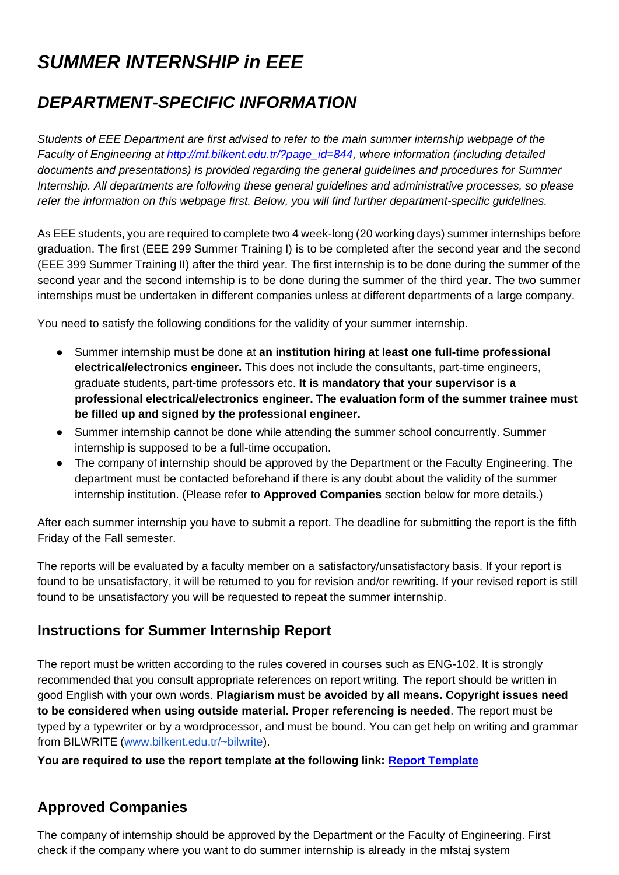# *SUMMER INTERNSHIP in EEE*

## *DEPARTMENT-SPECIFIC INFORMATION*

*Students of EEE Department are first advised to refer to the main summer internship webpage of the Faculty of Engineering at [http://mf.bilkent.edu.tr/?page\\_id=844,](http://mf.bilkent.edu.tr/?page_id=844) where information (including detailed documents and presentations) is provided regarding the general guidelines and procedures for Summer Internship. All departments are following these general guidelines and administrative processes, so please refer the information on this webpage first. Below, you will find further department-specific guidelines.*

As EEE students, you are required to complete two 4 week-long (20 working days) summer internships before graduation. The first (EEE 299 Summer Training I) is to be completed after the second year and the second (EEE 399 Summer Training II) after the third year. The first internship is to be done during the summer of the second year and the second internship is to be done during the summer of the third year. The two summer internships must be undertaken in different companies unless at different departments of a large company.

You need to satisfy the following conditions for the validity of your summer internship.

- Summer internship must be done at **an institution hiring at least one full-time professional electrical/electronics engineer.** This does not include the consultants, part-time engineers, graduate students, part-time professors etc. **It is mandatory that your supervisor is a professional electrical/electronics engineer. The evaluation form of the summer trainee must be filled up and signed by the professional engineer.**
- Summer internship cannot be done while attending the summer school concurrently. Summer internship is supposed to be a full-time occupation.
- The company of internship should be approved by the Department or the Faculty Engineering. The department must be contacted beforehand if there is any doubt about the validity of the summer internship institution. (Please refer to **Approved Companies** section below for more details.)

After each summer internship you have to submit a report. The deadline for submitting the report is the fifth Friday of the Fall semester.

The reports will be evaluated by a faculty member on a satisfactory/unsatisfactory basis. If your report is found to be unsatisfactory, it will be returned to you for revision and/or rewriting. If your revised report is still found to be unsatisfactory you will be requested to repeat the summer internship.

### **Instructions for Summer Internship Report**

The report must be written according to the rules covered in courses such as ENG-102. It is strongly recommended that you consult appropriate references on report writing. The report should be written in good English with your own words. **Plagiarism must be avoided by all means. Copyright issues need to be considered when using outside material. Proper referencing is needed**. The report must be typed by a typewriter or by a wordprocessor, and must be bound. You can get help on writing and grammar from BILWRITE [\(www.bilkent.edu.tr/~bilwrite\)](http://www.bilkent.edu.tr/~bilwrite).

**You are required to use the report template at the following link: [Report Template](https://ee.bilkent.edu.tr/tr/wp-content/uploads/2022/05/Report-Template_EE.docx)**

### **Approved Companies**

The company of internship should be approved by the Department or the Faculty of Engineering. First check if the company where you want to do summer internship is already in the mfstaj system